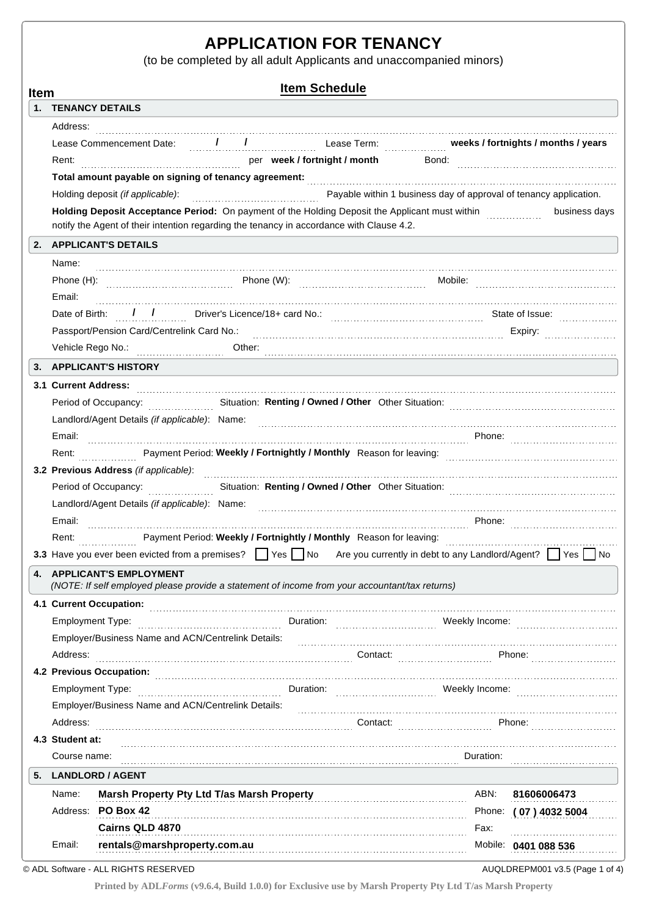# **APPLICATION FOR TENANCY**

(to be completed by all adult Applicants and unaccompanied minors)

| <b>Item Schedule</b><br><b>Item</b>                                                                                                                                                                                            |                                                                                                                                                                                                                               |                                                                                                                               |  |          |           |                                                       |  |  |
|--------------------------------------------------------------------------------------------------------------------------------------------------------------------------------------------------------------------------------|-------------------------------------------------------------------------------------------------------------------------------------------------------------------------------------------------------------------------------|-------------------------------------------------------------------------------------------------------------------------------|--|----------|-----------|-------------------------------------------------------|--|--|
|                                                                                                                                                                                                                                |                                                                                                                                                                                                                               | 1. TENANCY DETAILS                                                                                                            |  |          |           |                                                       |  |  |
|                                                                                                                                                                                                                                | Address:                                                                                                                                                                                                                      |                                                                                                                               |  |          |           |                                                       |  |  |
|                                                                                                                                                                                                                                |                                                                                                                                                                                                                               | Lease Commencement Date: 1 1                                                                                                  |  |          |           |                                                       |  |  |
|                                                                                                                                                                                                                                | Rent:                                                                                                                                                                                                                         | per week / fortnight / month                                                                                                  |  |          |           |                                                       |  |  |
|                                                                                                                                                                                                                                |                                                                                                                                                                                                                               |                                                                                                                               |  |          |           |                                                       |  |  |
|                                                                                                                                                                                                                                | Payable within 1 business day of approval of tenancy application.<br>Holding deposit (if applicable):                                                                                                                         |                                                                                                                               |  |          |           |                                                       |  |  |
|                                                                                                                                                                                                                                | Holding Deposit Acceptance Period: On payment of the Holding Deposit the Applicant must within <i>massession</i><br>business days<br>notify the Agent of their intention regarding the tenancy in accordance with Clause 4.2. |                                                                                                                               |  |          |           |                                                       |  |  |
|                                                                                                                                                                                                                                |                                                                                                                                                                                                                               | 2. APPLICANT'S DETAILS                                                                                                        |  |          |           |                                                       |  |  |
|                                                                                                                                                                                                                                | Name:                                                                                                                                                                                                                         |                                                                                                                               |  |          |           |                                                       |  |  |
|                                                                                                                                                                                                                                |                                                                                                                                                                                                                               |                                                                                                                               |  |          |           |                                                       |  |  |
|                                                                                                                                                                                                                                | Email:                                                                                                                                                                                                                        |                                                                                                                               |  |          |           |                                                       |  |  |
|                                                                                                                                                                                                                                |                                                                                                                                                                                                                               |                                                                                                                               |  |          |           |                                                       |  |  |
|                                                                                                                                                                                                                                |                                                                                                                                                                                                                               |                                                                                                                               |  |          |           |                                                       |  |  |
|                                                                                                                                                                                                                                |                                                                                                                                                                                                                               |                                                                                                                               |  |          |           |                                                       |  |  |
| 3.                                                                                                                                                                                                                             |                                                                                                                                                                                                                               | <b>APPLICANT'S HISTORY</b>                                                                                                    |  |          |           |                                                       |  |  |
|                                                                                                                                                                                                                                |                                                                                                                                                                                                                               | 3.1 Current Address:                                                                                                          |  |          |           |                                                       |  |  |
|                                                                                                                                                                                                                                |                                                                                                                                                                                                                               | Period of Occupancy: Situation: Renting / Owned / Other Other Situation: Material Accupancy:                                  |  |          |           |                                                       |  |  |
|                                                                                                                                                                                                                                |                                                                                                                                                                                                                               |                                                                                                                               |  |          |           |                                                       |  |  |
|                                                                                                                                                                                                                                | Email:                                                                                                                                                                                                                        |                                                                                                                               |  |          |           |                                                       |  |  |
|                                                                                                                                                                                                                                | Rent:                                                                                                                                                                                                                         |                                                                                                                               |  |          |           |                                                       |  |  |
| 3.2 Previous Address (if applicable): encontractional contraction of the contract of the contract of the contract of the contract of the contract of the contract of the contract of the contract of the contract of the contr |                                                                                                                                                                                                                               |                                                                                                                               |  |          |           |                                                       |  |  |
|                                                                                                                                                                                                                                | Period of Occupancy: Situation: Renting / Owned / Other Other Situation: Material Accupancy:                                                                                                                                  |                                                                                                                               |  |          |           |                                                       |  |  |
|                                                                                                                                                                                                                                |                                                                                                                                                                                                                               |                                                                                                                               |  |          |           |                                                       |  |  |
|                                                                                                                                                                                                                                | Email:                                                                                                                                                                                                                        |                                                                                                                               |  |          |           |                                                       |  |  |
|                                                                                                                                                                                                                                | Rent:                                                                                                                                                                                                                         | Payment Period: Weekly / Fortnightly / Monthly Reason for leaving: Monthly Reason for leaving:                                |  |          |           |                                                       |  |  |
|                                                                                                                                                                                                                                |                                                                                                                                                                                                                               | 3.3 Have you ever been evicted from a premises? Similar esterator Are you currently in debt to any Landlord/Agent? Similar No |  |          |           |                                                       |  |  |
| 4.                                                                                                                                                                                                                             | <b>APPLICANT'S EMPLOYMENT</b>                                                                                                                                                                                                 |                                                                                                                               |  |          |           |                                                       |  |  |
|                                                                                                                                                                                                                                |                                                                                                                                                                                                                               | (NOTE: If self employed please provide a statement of income from your accountant/tax returns)                                |  |          |           |                                                       |  |  |
|                                                                                                                                                                                                                                |                                                                                                                                                                                                                               | 4.1 Current Occupation:                                                                                                       |  |          |           |                                                       |  |  |
|                                                                                                                                                                                                                                | Duration:<br><b>Employment Type:</b>                                                                                                                                                                                          |                                                                                                                               |  |          |           |                                                       |  |  |
|                                                                                                                                                                                                                                |                                                                                                                                                                                                                               | Employer/Business Name and ACN/Centrelink Details:                                                                            |  |          |           |                                                       |  |  |
|                                                                                                                                                                                                                                | Address:                                                                                                                                                                                                                      |                                                                                                                               |  | Contact: |           | Phone:                                                |  |  |
|                                                                                                                                                                                                                                |                                                                                                                                                                                                                               | 4.2 Previous Occupation:                                                                                                      |  |          |           |                                                       |  |  |
|                                                                                                                                                                                                                                |                                                                                                                                                                                                                               | <b>Employment Type:</b>                                                                                                       |  |          |           | Weekly Income: Management Contains and Meekly Income: |  |  |
|                                                                                                                                                                                                                                |                                                                                                                                                                                                                               | Employer/Business Name and ACN/Centrelink Details:                                                                            |  |          |           |                                                       |  |  |
|                                                                                                                                                                                                                                | Address:                                                                                                                                                                                                                      |                                                                                                                               |  | Contact: |           | Phone:                                                |  |  |
|                                                                                                                                                                                                                                | 4.3 Student at:                                                                                                                                                                                                               |                                                                                                                               |  |          |           |                                                       |  |  |
|                                                                                                                                                                                                                                | Course name:                                                                                                                                                                                                                  |                                                                                                                               |  |          | Duration: |                                                       |  |  |
| 5.                                                                                                                                                                                                                             |                                                                                                                                                                                                                               | <b>LANDLORD / AGENT</b>                                                                                                       |  |          |           |                                                       |  |  |
|                                                                                                                                                                                                                                | Name:                                                                                                                                                                                                                         | Marsh Property Pty Ltd T/as Marsh Property [2010] Marsh Property                                                              |  |          | ABN:      | 81606006473                                           |  |  |
|                                                                                                                                                                                                                                |                                                                                                                                                                                                                               | Address: PO Box 42                                                                                                            |  |          |           | Phone: (07) 4032 5004                                 |  |  |
|                                                                                                                                                                                                                                |                                                                                                                                                                                                                               | Cairns QLD 4870                                                                                                               |  |          | Fax:      |                                                       |  |  |
|                                                                                                                                                                                                                                | Email:                                                                                                                                                                                                                        | rentals@marshproperty.com.au                                                                                                  |  |          |           | Mobile: 0401 088 536                                  |  |  |

© ADL Software - ALL RIGHTS RESERVED

AUQLDREPM001 v3.5 (Page 1 of 4)

**Printed by ADL***Forms* **(v9.6.4, Build 1.0.0) for Exclusive use by Marsh Property Pty Ltd T/as Marsh Property**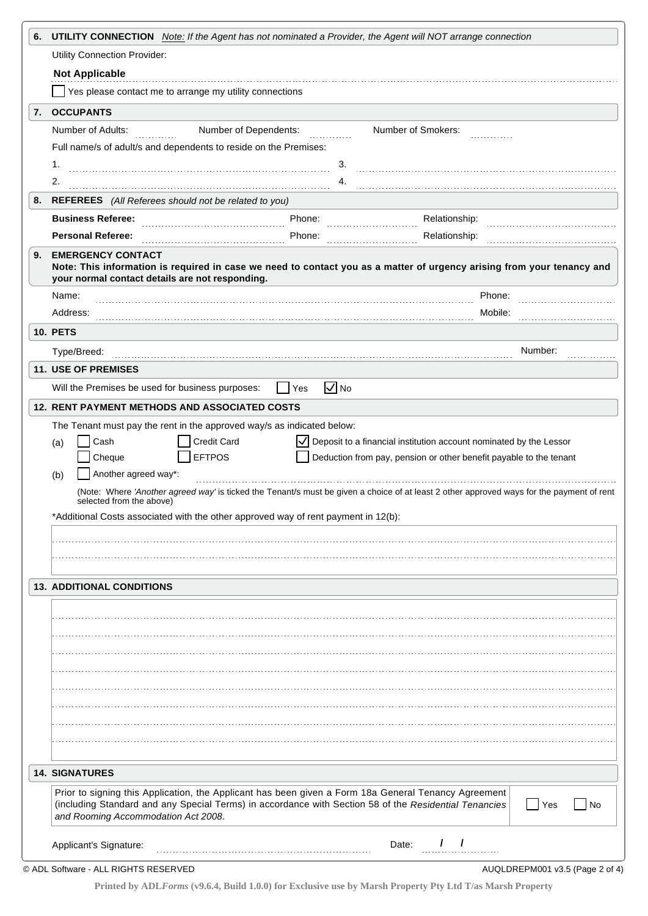| 6. | <b>UTILITY CONNECTION</b> Note: If the Agent has not nominated a Provider, the Agent will NOT arrange connection                                                                                                                                                    |                                                                                                                                                                                                                 |  |  |  |  |  |  |
|----|---------------------------------------------------------------------------------------------------------------------------------------------------------------------------------------------------------------------------------------------------------------------|-----------------------------------------------------------------------------------------------------------------------------------------------------------------------------------------------------------------|--|--|--|--|--|--|
|    | Utility Connection Provider:                                                                                                                                                                                                                                        |                                                                                                                                                                                                                 |  |  |  |  |  |  |
|    | <b>Not Applicable</b>                                                                                                                                                                                                                                               |                                                                                                                                                                                                                 |  |  |  |  |  |  |
|    | Yes please contact me to arrange my utility connections                                                                                                                                                                                                             |                                                                                                                                                                                                                 |  |  |  |  |  |  |
| 7. | <b>OCCUPANTS</b>                                                                                                                                                                                                                                                    |                                                                                                                                                                                                                 |  |  |  |  |  |  |
|    | Number of Adults:<br>Number of Dependents:<br>Number of Smokers:<br>Full name/s of adult/s and dependents to reside on the Premises:                                                                                                                                |                                                                                                                                                                                                                 |  |  |  |  |  |  |
|    |                                                                                                                                                                                                                                                                     |                                                                                                                                                                                                                 |  |  |  |  |  |  |
|    | 1.                                                                                                                                                                                                                                                                  | 3.                                                                                                                                                                                                              |  |  |  |  |  |  |
|    | 2.                                                                                                                                                                                                                                                                  | 4.                                                                                                                                                                                                              |  |  |  |  |  |  |
| 8. | REFEREES (All Referees should not be related to you)                                                                                                                                                                                                                |                                                                                                                                                                                                                 |  |  |  |  |  |  |
|    | <b>Business Referee:</b><br>Phone:                                                                                                                                                                                                                                  | Relationship:                                                                                                                                                                                                   |  |  |  |  |  |  |
|    | <b>Personal Referee:</b><br>Phone:                                                                                                                                                                                                                                  | Relationship:                                                                                                                                                                                                   |  |  |  |  |  |  |
| 9. | <b>EMERGENCY CONTACT</b><br>Note: This information is required in case we need to contact you as a matter of urgency arising from your tenancy and<br>your normal contact details are not responding.                                                               |                                                                                                                                                                                                                 |  |  |  |  |  |  |
|    | Name:                                                                                                                                                                                                                                                               | Phone:                                                                                                                                                                                                          |  |  |  |  |  |  |
|    | Address:                                                                                                                                                                                                                                                            | Mobile:                                                                                                                                                                                                         |  |  |  |  |  |  |
|    | <b>10. PETS</b>                                                                                                                                                                                                                                                     |                                                                                                                                                                                                                 |  |  |  |  |  |  |
|    |                                                                                                                                                                                                                                                                     | Number:                                                                                                                                                                                                         |  |  |  |  |  |  |
|    | 11. USE OF PREMISES                                                                                                                                                                                                                                                 |                                                                                                                                                                                                                 |  |  |  |  |  |  |
|    | Will the Premises be used for business purposes:<br>  Yes                                                                                                                                                                                                           | $\sqrt{N}$                                                                                                                                                                                                      |  |  |  |  |  |  |
|    | 12. RENT PAYMENT METHODS AND ASSOCIATED COSTS                                                                                                                                                                                                                       |                                                                                                                                                                                                                 |  |  |  |  |  |  |
|    | The Tenant must pay the rent in the approved way/s as indicated below:                                                                                                                                                                                              |                                                                                                                                                                                                                 |  |  |  |  |  |  |
|    | <b>EFTPOS</b><br>Cheque<br>Another agreed way*:<br>(b)<br>selected from the above)<br>*Additional Costs associated with the other approved way of rent payment in 12(b):                                                                                            | Deduction from pay, pension or other benefit payable to the tenant<br>(Note: Where 'Another agreed way' is ticked the Tenant/s must be given a choice of at least 2 other approved ways for the payment of rent |  |  |  |  |  |  |
|    | <b>13. ADDITIONAL CONDITIONS</b>                                                                                                                                                                                                                                    |                                                                                                                                                                                                                 |  |  |  |  |  |  |
|    |                                                                                                                                                                                                                                                                     |                                                                                                                                                                                                                 |  |  |  |  |  |  |
|    |                                                                                                                                                                                                                                                                     |                                                                                                                                                                                                                 |  |  |  |  |  |  |
|    |                                                                                                                                                                                                                                                                     |                                                                                                                                                                                                                 |  |  |  |  |  |  |
|    |                                                                                                                                                                                                                                                                     |                                                                                                                                                                                                                 |  |  |  |  |  |  |
|    |                                                                                                                                                                                                                                                                     |                                                                                                                                                                                                                 |  |  |  |  |  |  |
|    |                                                                                                                                                                                                                                                                     |                                                                                                                                                                                                                 |  |  |  |  |  |  |
|    |                                                                                                                                                                                                                                                                     |                                                                                                                                                                                                                 |  |  |  |  |  |  |
|    |                                                                                                                                                                                                                                                                     |                                                                                                                                                                                                                 |  |  |  |  |  |  |
|    |                                                                                                                                                                                                                                                                     |                                                                                                                                                                                                                 |  |  |  |  |  |  |
|    |                                                                                                                                                                                                                                                                     |                                                                                                                                                                                                                 |  |  |  |  |  |  |
|    | <b>14. SIGNATURES</b>                                                                                                                                                                                                                                               |                                                                                                                                                                                                                 |  |  |  |  |  |  |
|    | Prior to signing this Application, the Applicant has been given a Form 18a General Tenancy Agreement<br>(including Standard and any Special Terms) in accordance with Section 58 of the Residential Tenancies<br>  Yes<br>No<br>and Rooming Accommodation Act 2008. |                                                                                                                                                                                                                 |  |  |  |  |  |  |
|    | $1 \quad 1$<br>Applicant's Signature:<br>Date:                                                                                                                                                                                                                      |                                                                                                                                                                                                                 |  |  |  |  |  |  |
|    | © ADL Software - ALL RIGHTS RESERVED                                                                                                                                                                                                                                | AUQLDREPM001 v3.5 (Page 2 of 4)                                                                                                                                                                                 |  |  |  |  |  |  |

**Printed by ADL***Forms* **(v9.6.4, Build 1.0.0) for Exclusive use by Marsh Property Pty Ltd T/as Marsh Property**

AUQLDREPM001 v3.5 (Page 2 of 4)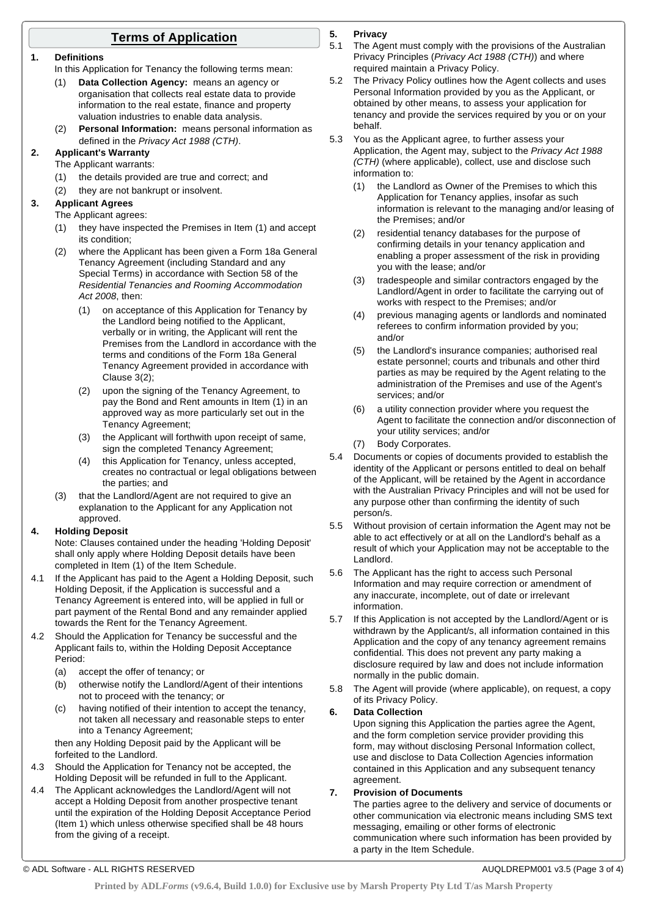## **Terms of Application**

#### **1. Definitions**

In this Application for Tenancy the following terms mean:

- (1) **Data Collection Agency:** means an agency or organisation that collects real estate data to provide information to the real estate, finance and property valuation industries to enable data analysis.
- (2) **Personal Information:** means personal information as defined in the *Privacy Act 1988 (CTH)*.

## **2. Applicant's Warranty**

- The Applicant warrants:
- (1) the details provided are true and correct; and
- (2) they are not bankrupt or insolvent.

#### **3. Applicant Agrees**

The Applicant agrees:

- (1) they have inspected the Premises in Item (1) and accept its condition;
- (2) where the Applicant has been given a Form 18a General Tenancy Agreement (including Standard and any Special Terms) in accordance with Section 58 of the *Residential Tenancies and Rooming Accommodation Act 2008*, then:
	- (1) on acceptance of this Application for Tenancy by the Landlord being notified to the Applicant, verbally or in writing, the Applicant will rent the Premises from the Landlord in accordance with the terms and conditions of the Form 18a General Tenancy Agreement provided in accordance with Clause 3(2);
	- (2) upon the signing of the Tenancy Agreement, to pay the Bond and Rent amounts in Item (1) in an approved way as more particularly set out in the Tenancy Agreement;
	- (3) the Applicant will forthwith upon receipt of same, sign the completed Tenancy Agreement;
	- (4) this Application for Tenancy, unless accepted, creates no contractual or legal obligations between the parties; and
- (3) that the Landlord/Agent are not required to give an explanation to the Applicant for any Application not approved.

#### **4. Holding Deposit**

Note: Clauses contained under the heading 'Holding Deposit' shall only apply where Holding Deposit details have been completed in Item (1) of the Item Schedule.

- 4.1 If the Applicant has paid to the Agent a Holding Deposit, such Holding Deposit, if the Application is successful and a Tenancy Agreement is entered into, will be applied in full or part payment of the Rental Bond and any remainder applied towards the Rent for the Tenancy Agreement.
- 4.2 Should the Application for Tenancy be successful and the Applicant fails to, within the Holding Deposit Acceptance Period:
	- (a) accept the offer of tenancy; or
	- (b) otherwise notify the Landlord/Agent of their intentions not to proceed with the tenancy; or
	- (c) having notified of their intention to accept the tenancy, not taken all necessary and reasonable steps to enter into a Tenancy Agreement;

then any Holding Deposit paid by the Applicant will be forfeited to the Landlord.

- 4.3 Should the Application for Tenancy not be accepted, the Holding Deposit will be refunded in full to the Applicant.
- 4.4 The Applicant acknowledges the Landlord/Agent will not accept a Holding Deposit from another prospective tenant until the expiration of the Holding Deposit Acceptance Period (Item 1) which unless otherwise specified shall be 48 hours from the giving of a receipt.

### **5. Privacy**

5.1 The Agent must comply with the provisions of the Australian Privacy Principles (*Privacy Act 1988 (CTH)*) and where required maintain a Privacy Policy.

- 5.2 The Privacy Policy outlines how the Agent collects and uses Personal Information provided by you as the Applicant, or obtained by other means, to assess your application for tenancy and provide the services required by you or on your behalf.
- 5.3 You as the Applicant agree, to further assess your Application, the Agent may, subject to the *Privacy Act 1988 (CTH)* (where applicable), collect, use and disclose such information to:
	- (1) the Landlord as Owner of the Premises to which this Application for Tenancy applies, insofar as such information is relevant to the managing and/or leasing of the Premises; and/or
	- (2) residential tenancy databases for the purpose of confirming details in your tenancy application and enabling a proper assessment of the risk in providing you with the lease; and/or
	- (3) tradespeople and similar contractors engaged by the Landlord/Agent in order to facilitate the carrying out of works with respect to the Premises; and/or
	- (4) previous managing agents or landlords and nominated referees to confirm information provided by you; and/or
	- (5) the Landlord's insurance companies; authorised real estate personnel; courts and tribunals and other third parties as may be required by the Agent relating to the administration of the Premises and use of the Agent's services; and/or
	- (6) a utility connection provider where you request the Agent to facilitate the connection and/or disconnection of your utility services; and/or
	- (7) Body Corporates.
- 5.4 Documents or copies of documents provided to establish the identity of the Applicant or persons entitled to deal on behalf of the Applicant, will be retained by the Agent in accordance with the Australian Privacy Principles and will not be used for any purpose other than confirming the identity of such person/s.
- 5.5 Without provision of certain information the Agent may not be able to act effectively or at all on the Landlord's behalf as a result of which your Application may not be acceptable to the Landlord.
- 5.6 The Applicant has the right to access such Personal Information and may require correction or amendment of any inaccurate, incomplete, out of date or irrelevant information.
- 5.7 If this Application is not accepted by the Landlord/Agent or is withdrawn by the Applicant/s, all information contained in this Application and the copy of any tenancy agreement remains confidential. This does not prevent any party making a disclosure required by law and does not include information normally in the public domain.
- 5.8 The Agent will provide (where applicable), on request, a copy of its Privacy Policy.

#### **6. Data Collection**

Upon signing this Application the parties agree the Agent. and the form completion service provider providing this form, may without disclosing Personal Information collect, use and disclose to Data Collection Agencies information contained in this Application and any subsequent tenancy agreement.

#### **7. Provision of Documents**

The parties agree to the delivery and service of documents or other communication via electronic means including SMS text messaging, emailing or other forms of electronic communication where such information has been provided by a party in the Item Schedule.

© ADL Software - ALL RIGHTS RESERVED